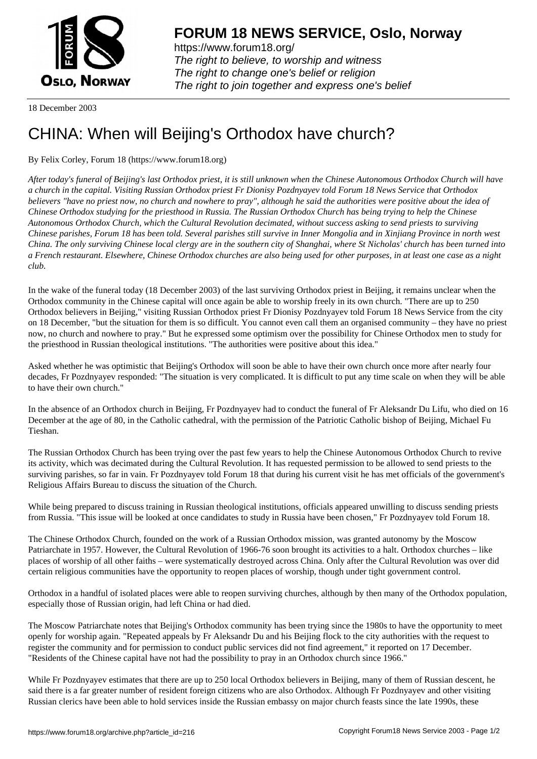

https://www.forum18.org/ The right to believe, to worship and witness The right to change one's belief or religion [The right to join together a](https://www.forum18.org/)nd express one's belief

18 December 2003

## [CHINA: When w](https://www.forum18.org)ill Beijing's Orthodox have church?

By Felix Corley, Forum 18 (https://www.forum18.org)

*After today's funeral of Beijing's last Orthodox priest, it is still unknown when the Chinese Autonomous Orthodox Church will have a church in the capital. Visiting Russian Orthodox priest Fr Dionisy Pozdnyayev told Forum 18 News Service that Orthodox believers "have no priest now, no church and nowhere to pray", although he said the authorities were positive about the idea of Chinese Orthodox studying for the priesthood in Russia. The Russian Orthodox Church has being trying to help the Chinese Autonomous Orthodox Church, which the Cultural Revolution decimated, without success asking to send priests to surviving Chinese parishes, Forum 18 has been told. Several parishes still survive in Inner Mongolia and in Xinjiang Province in north west China. The only surviving Chinese local clergy are in the southern city of Shanghai, where St Nicholas' church has been turned into a French restaurant. Elsewhere, Chinese Orthodox churches are also being used for other purposes, in at least one case as a night club.*

In the wake of the funeral today (18 December 2003) of the last surviving Orthodox priest in Beijing, it remains unclear when the Orthodox community in the Chinese capital will once again be able to worship freely in its own church. "There are up to 250 Orthodox believers in Beijing," visiting Russian Orthodox priest Fr Dionisy Pozdnyayev told Forum 18 News Service from the city on 18 December, "but the situation for them is so difficult. You cannot even call them an organised community – they have no priest now, no church and nowhere to pray." But he expressed some optimism over the possibility for Chinese Orthodox men to study for the priesthood in Russian theological institutions. "The authorities were positive about this idea."

Asked whether he was optimistic that Beijing's Orthodox will soon be able to have their own church once more after nearly four decades, Fr Pozdnyayev responded: "The situation is very complicated. It is difficult to put any time scale on when they will be able to have their own church."

In the absence of an Orthodox church in Beijing, Fr Pozdnyayev had to conduct the funeral of Fr Aleksandr Du Lifu, who died on 16 December at the age of 80, in the Catholic cathedral, with the permission of the Patriotic Catholic bishop of Beijing, Michael Fu Tieshan.

The Russian Orthodox Church has been trying over the past few years to help the Chinese Autonomous Orthodox Church to revive its activity, which was decimated during the Cultural Revolution. It has requested permission to be allowed to send priests to the surviving parishes, so far in vain. Fr Pozdnyayev told Forum 18 that during his current visit he has met officials of the government's Religious Affairs Bureau to discuss the situation of the Church.

While being prepared to discuss training in Russian theological institutions, officials appeared unwilling to discuss sending priests from Russia. "This issue will be looked at once candidates to study in Russia have been chosen," Fr Pozdnyayev told Forum 18.

The Chinese Orthodox Church, founded on the work of a Russian Orthodox mission, was granted autonomy by the Moscow Patriarchate in 1957. However, the Cultural Revolution of 1966-76 soon brought its activities to a halt. Orthodox churches – like places of worship of all other faiths – were systematically destroyed across China. Only after the Cultural Revolution was over did certain religious communities have the opportunity to reopen places of worship, though under tight government control.

Orthodox in a handful of isolated places were able to reopen surviving churches, although by then many of the Orthodox population, especially those of Russian origin, had left China or had died.

The Moscow Patriarchate notes that Beijing's Orthodox community has been trying since the 1980s to have the opportunity to meet openly for worship again. "Repeated appeals by Fr Aleksandr Du and his Beijing flock to the city authorities with the request to register the community and for permission to conduct public services did not find agreement," it reported on 17 December. "Residents of the Chinese capital have not had the possibility to pray in an Orthodox church since 1966."

While Fr Pozdnyayev estimates that there are up to 250 local Orthodox believers in Beijing, many of them of Russian descent, he said there is a far greater number of resident foreign citizens who are also Orthodox. Although Fr Pozdnyayev and other visiting Russian clerics have been able to hold services inside the Russian embassy on major church feasts since the late 1990s, these